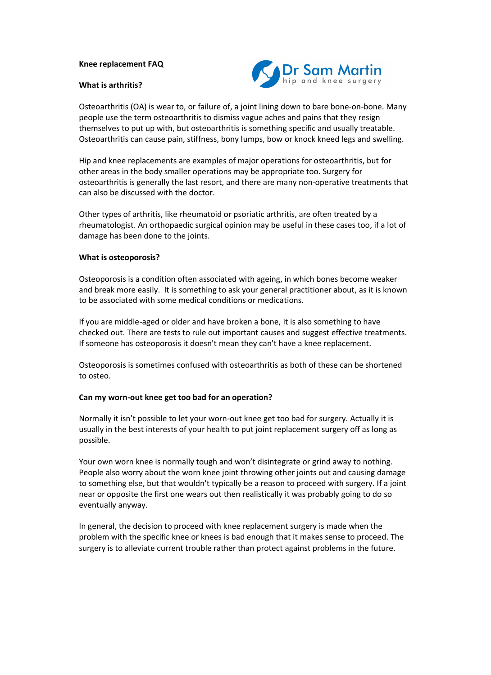#### **Knee replacement FAQ**

#### **What is arthritis?**



Osteoarthritis (OA) is wear to, or failure of, a joint lining down to bare bone-on-bone. Many people use the term osteoarthritis to dismiss vague aches and pains that they resign themselves to put up with, but osteoarthritis is something specific and usually treatable. Osteoarthritis can cause pain, stiffness, bony lumps, bow or knock kneed legs and swelling.

Hip and knee replacements are examples of major operations for osteoarthritis, but for other areas in the body smaller operations may be appropriate too. Surgery for osteoarthritis is generally the last resort, and there are many non-operative treatments that can also be discussed with the doctor.

Other types of arthritis, like rheumatoid or psoriatic arthritis, are often treated by a rheumatologist. An orthopaedic surgical opinion may be useful in these cases too, if a lot of damage has been done to the joints.

#### **What is osteoporosis?**

Osteoporosis is a condition often associated with ageing, in which bones become weaker and break more easily. It is something to ask your general practitioner about, as it is known to be associated with some medical conditions or medications.

If you are middle-aged or older and have broken a bone, it is also something to have checked out. There are tests to rule out important causes and suggest effective treatments. If someone has osteoporosis it doesn't mean they can't have a knee replacement.

Osteoporosis is sometimes confused with osteoarthritis as both of these can be shortened to osteo.

#### **Can my worn-out knee get too bad for an operation?**

Normally it isn't possible to let your worn-out knee get too bad for surgery. Actually it is usually in the best interests of your health to put joint replacement surgery off as long as possible.

Your own worn knee is normally tough and won't disintegrate or grind away to nothing. People also worry about the worn knee joint throwing other joints out and causing damage to something else, but that wouldn't typically be a reason to proceed with surgery. If a joint near or opposite the first one wears out then realistically it was probably going to do so eventually anyway.

In general, the decision to proceed with knee replacement surgery is made when the problem with the specific knee or knees is bad enough that it makes sense to proceed. The surgery is to alleviate current trouble rather than protect against problems in the future.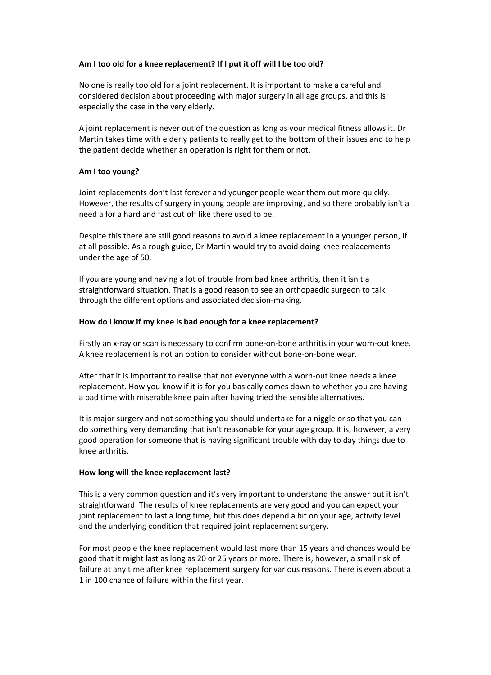# **Am I too old for a knee replacement? If I put it off will I be too old?**

No one is really too old for a joint replacement. It is important to make a careful and considered decision about proceeding with major surgery in all age groups, and this is especially the case in the very elderly.

A joint replacement is never out of the question as long as your medical fitness allows it. Dr Martin takes time with elderly patients to really get to the bottom of their issues and to help the patient decide whether an operation is right for them or not.

## **Am I too young?**

Joint replacements don't last forever and younger people wear them out more quickly. However, the results of surgery in young people are improving, and so there probably isn't a need a for a hard and fast cut off like there used to be.

Despite this there are still good reasons to avoid a knee replacement in a younger person, if at all possible. As a rough guide, Dr Martin would try to avoid doing knee replacements under the age of 50.

If you are young and having a lot of trouble from bad knee arthritis, then it isn't a straightforward situation. That is a good reason to see an orthopaedic surgeon to talk through the different options and associated decision-making.

## **How do I know if my knee is bad enough for a knee replacement?**

Firstly an x-ray or scan is necessary to confirm bone-on-bone arthritis in your worn-out knee. A knee replacement is not an option to consider without bone-on-bone wear.

After that it is important to realise that not everyone with a worn-out knee needs a knee replacement. How you know if it is for you basically comes down to whether you are having a bad time with miserable knee pain after having tried the sensible alternatives.

It is major surgery and not something you should undertake for a niggle or so that you can do something very demanding that isn't reasonable for your age group. It is, however, a very good operation for someone that is having significant trouble with day to day things due to knee arthritis.

## **How long will the knee replacement last?**

This is a very common question and it's very important to understand the answer but it isn't straightforward. The results of knee replacements are very good and you can expect your joint replacement to last a long time, but this does depend a bit on your age, activity level and the underlying condition that required joint replacement surgery.

For most people the knee replacement would last more than 15 years and chances would be good that it might last as long as 20 or 25 years or more. There is, however, a small risk of failure at any time after knee replacement surgery for various reasons. There is even about a 1 in 100 chance of failure within the first year.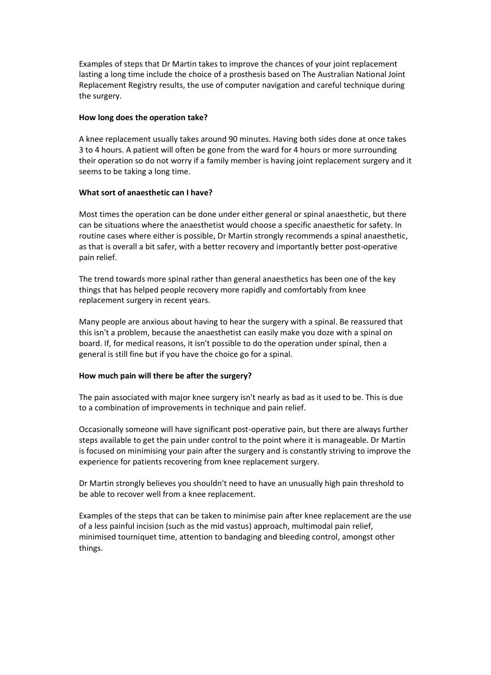Examples of steps that Dr Martin takes to improve the chances of your joint replacement lasting a long time include the choice of a prosthesis based on The Australian National Joint Replacement Registry results, the use of computer navigation and careful technique during the surgery.

#### **How long does the operation take?**

A knee replacement usually takes around 90 minutes. Having both sides done at once takes 3 to 4 hours. A patient will often be gone from the ward for 4 hours or more surrounding their operation so do not worry if a family member is having joint replacement surgery and it seems to be taking a long time.

## **What sort of anaesthetic can I have?**

Most times the operation can be done under either general or spinal anaesthetic, but there can be situations where the anaesthetist would choose a specific anaesthetic for safety. In routine cases where either is possible, Dr Martin strongly recommends a spinal anaesthetic, as that is overall a bit safer, with a better recovery and importantly better post-operative pain relief.

The trend towards more spinal rather than general anaesthetics has been one of the key things that has helped people recovery more rapidly and comfortably from knee replacement surgery in recent years.

Many people are anxious about having to hear the surgery with a spinal. Be reassured that this isn't a problem, because the anaesthetist can easily make you doze with a spinal on board. If, for medical reasons, it isn't possible to do the operation under spinal, then a general is still fine but if you have the choice go for a spinal.

## **How much pain will there be after the surgery?**

The pain associated with major knee surgery isn't nearly as bad as it used to be. This is due to a combination of improvements in technique and pain relief.

Occasionally someone will have significant post-operative pain, but there are always further steps available to get the pain under control to the point where it is manageable. Dr Martin is focused on minimising your pain after the surgery and is constantly striving to improve the experience for patients recovering from knee replacement surgery.

Dr Martin strongly believes you shouldn't need to have an unusually high pain threshold to be able to recover well from a knee replacement.

Examples of the steps that can be taken to minimise pain after knee replacement are the use of a less painful incision (such as the mid vastus) approach, multimodal pain relief, minimised tourniquet time, attention to bandaging and bleeding control, amongst other things.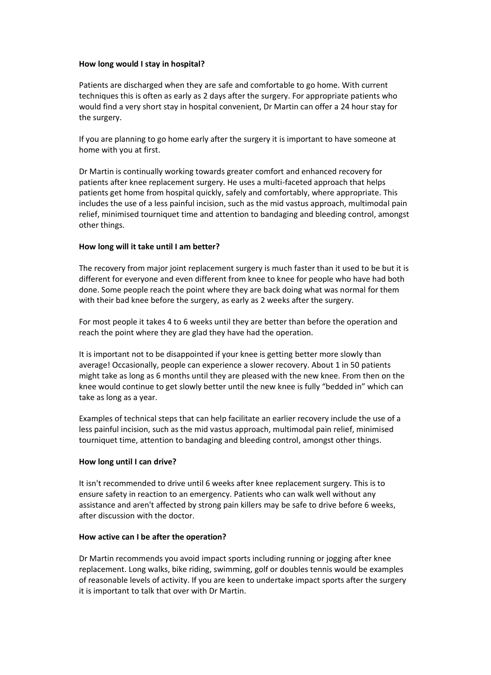## **How long would I stay in hospital?**

Patients are discharged when they are safe and comfortable to go home. With current techniques this is often as early as 2 days after the surgery. For appropriate patients who would find a very short stay in hospital convenient, Dr Martin can offer a 24 hour stay for the surgery.

If you are planning to go home early after the surgery it is important to have someone at home with you at first.

Dr Martin is continually working towards greater comfort and enhanced recovery for patients after knee replacement surgery. He uses a multi-faceted approach that helps patients get home from hospital quickly, safely and comfortably, where appropriate. This includes the use of a less painful incision, such as the mid vastus approach, multimodal pain relief, minimised tourniquet time and attention to bandaging and bleeding control, amongst other things.

## **How long will it take until I am better?**

The recovery from major joint replacement surgery is much faster than it used to be but it is different for everyone and even different from knee to knee for people who have had both done. Some people reach the point where they are back doing what was normal for them with their bad knee before the surgery, as early as 2 weeks after the surgery.

For most people it takes 4 to 6 weeks until they are better than before the operation and reach the point where they are glad they have had the operation.

It is important not to be disappointed if your knee is getting better more slowly than average! Occasionally, people can experience a slower recovery. About 1 in 50 patients might take as long as 6 months until they are pleased with the new knee. From then on the knee would continue to get slowly better until the new knee is fully "bedded in" which can take as long as a year.

Examples of technical steps that can help facilitate an earlier recovery include the use of a less painful incision, such as the mid vastus approach, multimodal pain relief, minimised tourniquet time, attention to bandaging and bleeding control, amongst other things.

## **How long until I can drive?**

It isn't recommended to drive until 6 weeks after knee replacement surgery. This is to ensure safety in reaction to an emergency. Patients who can walk well without any assistance and aren't affected by strong pain killers may be safe to drive before 6 weeks, after discussion with the doctor.

#### **How active can I be after the operation?**

Dr Martin recommends you avoid impact sports including running or jogging after knee replacement. Long walks, bike riding, swimming, golf or doubles tennis would be examples of reasonable levels of activity. If you are keen to undertake impact sports after the surgery it is important to talk that over with Dr Martin.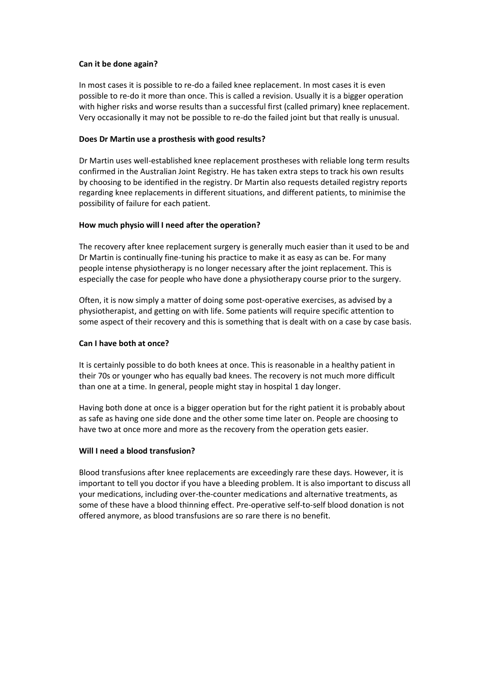## **Can it be done again?**

In most cases it is possible to re-do a failed knee replacement. In most cases it is even possible to re-do it more than once. This is called a revision. Usually it is a bigger operation with higher risks and worse results than a successful first (called primary) knee replacement. Very occasionally it may not be possible to re-do the failed joint but that really is unusual.

#### **Does Dr Martin use a prosthesis with good results?**

Dr Martin uses well-established knee replacement prostheses with reliable long term results confirmed in the Australian Joint Registry. He has taken extra steps to track his own results by choosing to be identified in the registry. Dr Martin also requests detailed registry reports regarding knee replacements in different situations, and different patients, to minimise the possibility of failure for each patient.

#### **How much physio will I need after the operation?**

The recovery after knee replacement surgery is generally much easier than it used to be and Dr Martin is continually fine-tuning his practice to make it as easy as can be. For many people intense physiotherapy is no longer necessary after the joint replacement. This is especially the case for people who have done a physiotherapy course prior to the surgery.

Often, it is now simply a matter of doing some post-operative exercises, as advised by a physiotherapist, and getting on with life. Some patients will require specific attention to some aspect of their recovery and this is something that is dealt with on a case by case basis.

## **Can I have both at once?**

It is certainly possible to do both knees at once. This is reasonable in a healthy patient in their 70s or younger who has equally bad knees. The recovery is not much more difficult than one at a time. In general, people might stay in hospital 1 day longer.

Having both done at once is a bigger operation but for the right patient it is probably about as safe as having one side done and the other some time later on. People are choosing to have two at once more and more as the recovery from the operation gets easier.

## **Will I need a blood transfusion?**

Blood transfusions after knee replacements are exceedingly rare these days. However, it is important to tell you doctor if you have a bleeding problem. It is also important to discuss all your medications, including over-the-counter medications and alternative treatments, as some of these have a blood thinning effect. Pre-operative self-to-self blood donation is not offered anymore, as blood transfusions are so rare there is no benefit.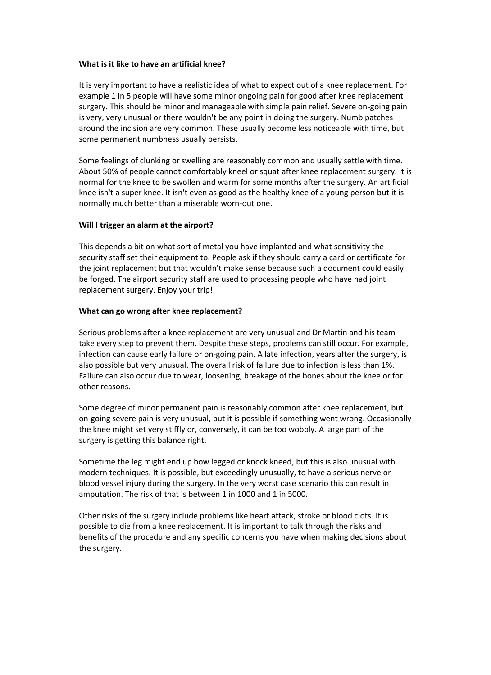#### **What is it like to have an artificial knee?**

It is very important to have a realistic idea of what to expect out of a knee replacement. For example 1 in 5 people will have some minor ongoing pain for good after knee replacement surgery. This should be minor and manageable with simple pain relief. Severe on-going pain is very, very unusual or there wouldn't be any point in doing the surgery. Numb patches around the incision are very common. These usually become less noticeable with time, but some permanent numbness usually persists.

Some feelings of clunking or swelling are reasonably common and usually settle with time. About 50% of people cannot comfortably kneel or squat after knee replacement surgery. It is normal for the knee to be swollen and warm for some months after the surgery. An artificial knee isn't a super knee. It isn't even as good as the healthy knee of a young person but it is normally much better than a miserable worn-out one.

## **Will I trigger an alarm at the airport?**

This depends a bit on what sort of metal you have implanted and what sensitivity the security staff set their equipment to. People ask if they should carry a card or certificate for the joint replacement but that wouldn't make sense because such a document could easily be forged. The airport security staff are used to processing people who have had joint replacement surgery. Enjoy your trip!

#### **What can go wrong after knee replacement?**

Serious problems after a knee replacement are very unusual and Dr Martin and his team take every step to prevent them. Despite these steps, problems can still occur. For example, infection can cause early failure or on-going pain. A late infection, years after the surgery, is also possible but very unusual. The overall risk of failure due to infection is less than 1%. Failure can also occur due to wear, loosening, breakage of the bones about the knee or for other reasons.

Some degree of minor permanent pain is reasonably common after knee replacement, but on-going severe pain is very unusual, but it is possible if something went wrong. Occasionally the knee might set very stiffly or, conversely, it can be too wobbly. A large part of the surgery is getting this balance right.

Sometime the leg might end up bow legged or knock kneed, but this is also unusual with modern techniques. It is possible, but exceedingly unusually, to have a serious nerve or blood vessel injury during the surgery. In the very worst case scenario this can result in amputation. The risk of that is between 1 in 1000 and 1 in 5000.

Other risks of the surgery include problems like heart attack, stroke or blood clots. It is possible to die from a knee replacement. It is important to talk through the risks and benefits of the procedure and any specific concerns you have when making decisions about the surgery.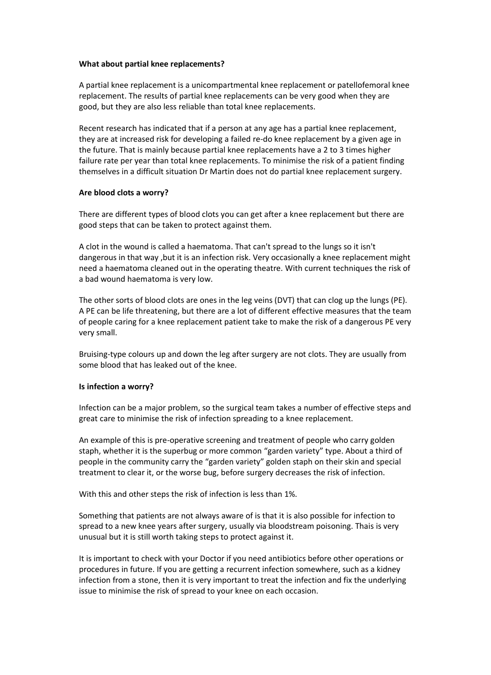#### **What about partial knee replacements?**

A partial knee replacement is a unicompartmental knee replacement or patellofemoral knee replacement. The results of partial knee replacements can be very good when they are good, but they are also less reliable than total knee replacements.

Recent research has indicated that if a person at any age has a partial knee replacement, they are at increased risk for developing a failed re-do knee replacement by a given age in the future. That is mainly because partial knee replacements have a 2 to 3 times higher failure rate per year than total knee replacements. To minimise the risk of a patient finding themselves in a difficult situation Dr Martin does not do partial knee replacement surgery.

## **Are blood clots a worry?**

There are different types of blood clots you can get after a knee replacement but there are good steps that can be taken to protect against them.

A clot in the wound is called a haematoma. That can't spread to the lungs so it isn't dangerous in that way ,but it is an infection risk. Very occasionally a knee replacement might need a haematoma cleaned out in the operating theatre. With current techniques the risk of a bad wound haematoma is very low.

The other sorts of blood clots are ones in the leg veins (DVT) that can clog up the lungs (PE). A PE can be life threatening, but there are a lot of different effective measures that the team of people caring for a knee replacement patient take to make the risk of a dangerous PE very very small.

Bruising-type colours up and down the leg after surgery are not clots. They are usually from some blood that has leaked out of the knee.

#### **Is infection a worry?**

Infection can be a major problem, so the surgical team takes a number of effective steps and great care to minimise the risk of infection spreading to a knee replacement.

An example of this is pre-operative screening and treatment of people who carry golden staph, whether it is the superbug or more common "garden variety" type. About a third of people in the community carry the "garden variety" golden staph on their skin and special treatment to clear it, or the worse bug, before surgery decreases the risk of infection.

With this and other steps the risk of infection is less than 1%.

Something that patients are not always aware of is that it is also possible for infection to spread to a new knee years after surgery, usually via bloodstream poisoning. Thais is very unusual but it is still worth taking steps to protect against it.

It is important to check with your Doctor if you need antibiotics before other operations or procedures in future. If you are getting a recurrent infection somewhere, such as a kidney infection from a stone, then it is very important to treat the infection and fix the underlying issue to minimise the risk of spread to your knee on each occasion.